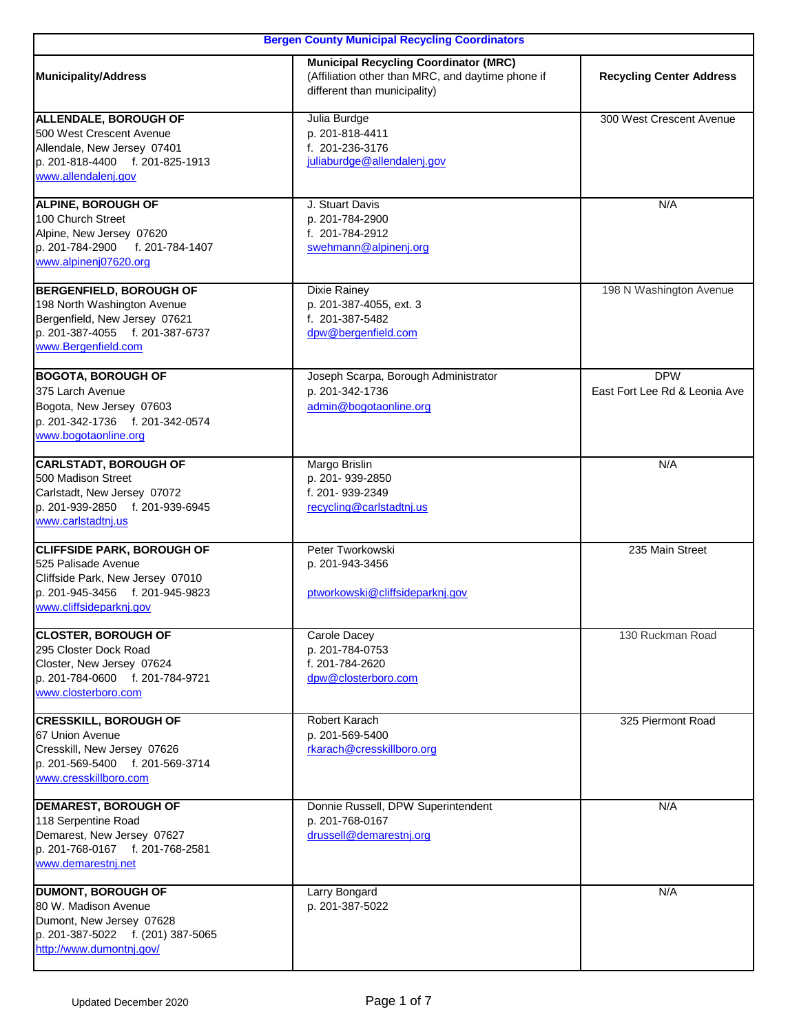| <b>Bergen County Municipal Recycling Coordinators</b>                                                                                                      |                                                                                                                                   |                                             |
|------------------------------------------------------------------------------------------------------------------------------------------------------------|-----------------------------------------------------------------------------------------------------------------------------------|---------------------------------------------|
| <b>Municipality/Address</b>                                                                                                                                | <b>Municipal Recycling Coordinator (MRC)</b><br>(Affiliation other than MRC, and daytime phone if<br>different than municipality) | <b>Recycling Center Address</b>             |
| ALLENDALE, BOROUGH OF<br>500 West Crescent Avenue<br>Allendale, New Jersey 07401<br>p. 201-818-4400 f. 201-825-1913<br>www.allendalenj.gov                 | Julia Burdge<br>p. 201-818-4411<br>f. 201-236-3176<br>juliaburdge@allendalenj.gov                                                 | 300 West Crescent Avenue                    |
| ALPINE, BOROUGH OF<br>100 Church Street<br>Alpine, New Jersey 07620<br>f. 201-784-1407<br>p. 201-784-2900<br>www.alpinenj07620.org                         | J. Stuart Davis<br>p. 201-784-2900<br>f. 201-784-2912<br>swehmann@alpinenj.org                                                    | N/A                                         |
| <b>BERGENFIELD, BOROUGH OF</b><br>198 North Washington Avenue<br>Bergenfield, New Jersey 07621<br>p. 201-387-4055 f. 201-387-6737<br>www.Bergenfield.com   | <b>Dixie Rainey</b><br>p. 201-387-4055, ext. 3<br>f. 201-387-5482<br>dpw@bergenfield.com                                          | 198 N Washington Avenue                     |
| <b>BOGOTA, BOROUGH OF</b><br>375 Larch Avenue<br>Bogota, New Jersey 07603<br>p. 201-342-1736 f. 201-342-0574<br>www.bogotaonline.org                       | Joseph Scarpa, Borough Administrator<br>p. 201-342-1736<br>admin@bogotaonline.org                                                 | <b>DPW</b><br>East Fort Lee Rd & Leonia Ave |
| <b>CARLSTADT, BOROUGH OF</b><br>500 Madison Street<br>Carlstadt, New Jersey 07072<br>p. 201-939-2850 f. 201-939-6945<br>www.carlstadtnj.us                 | Margo Brislin<br>p. 201-939-2850<br>f. 201-939-2349<br>recycling@carlstadtnj.us                                                   | N/A                                         |
| <b>CLIFFSIDE PARK, BOROUGH OF</b><br>525 Palisade Avenue<br>Cliffside Park, New Jersey 07010<br>p. 201-945-3456 f. 201-945-9823<br>www.cliffsideparknj.gov | Peter Tworkowski<br>p. 201-943-3456<br>ptworkowski@cliffsideparknj.gov                                                            | 235 Main Street                             |
| <b>CLOSTER, BOROUGH OF</b><br>295 Closter Dock Road<br>Closter, New Jersey 07624<br>p. 201-784-0600 f. 201-784-9721<br>www.closterboro.com                 | Carole Dacey<br>p. 201-784-0753<br>f. 201-784-2620<br>dpw@closterboro.com                                                         | 130 Ruckman Road                            |
| <b>CRESSKILL, BOROUGH OF</b><br>67 Union Avenue<br>Cresskill, New Jersey 07626<br>p. 201-569-5400 f. 201-569-3714<br>www.cresskillboro.com                 | Robert Karach<br>p. 201-569-5400<br>rkarach@cresskillboro.org                                                                     | 325 Piermont Road                           |
| <b>DEMAREST, BOROUGH OF</b><br>118 Serpentine Road<br>Demarest, New Jersey 07627<br>p. 201-768-0167 f. 201-768-2581<br>www.demarestnj.net                  | Donnie Russell, DPW Superintendent<br>p. 201-768-0167<br>drussell@demarestnj.org                                                  | N/A                                         |
| <b>DUMONT, BOROUGH OF</b><br>80 W. Madison Avenue<br>Dumont, New Jersey 07628<br>p. 201-387-5022 f. (201) 387-5065<br>http://www.dumontnj.gov/             | Larry Bongard<br>p. 201-387-5022                                                                                                  | N/A                                         |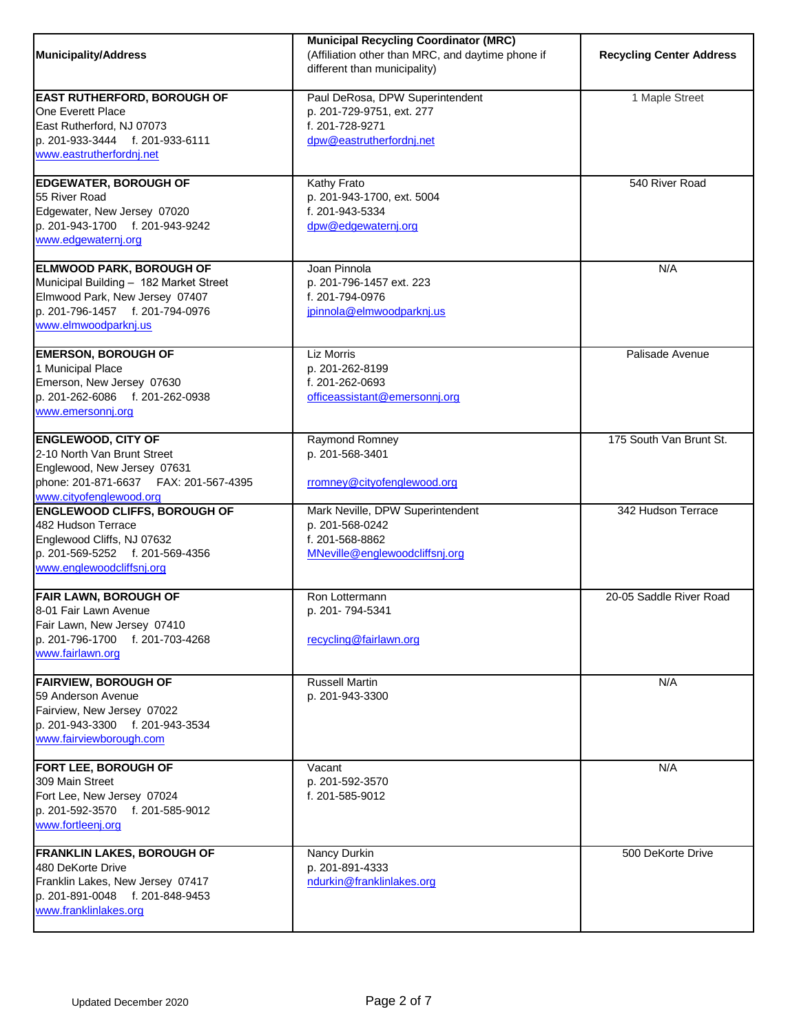| <b>Municipality/Address</b>                                                                                                                                            | <b>Municipal Recycling Coordinator (MRC)</b><br>(Affiliation other than MRC, and daytime phone if<br>different than municipality) | <b>Recycling Center Address</b> |
|------------------------------------------------------------------------------------------------------------------------------------------------------------------------|-----------------------------------------------------------------------------------------------------------------------------------|---------------------------------|
| <b>EAST RUTHERFORD, BOROUGH OF</b><br>One Everett Place<br>East Rutherford, NJ 07073<br>p. 201-933-3444 f. 201-933-6111<br>www.eastrutherfordnj.net                    | Paul DeRosa, DPW Superintendent<br>p. 201-729-9751, ext. 277<br>f. 201-728-9271<br>dpw@eastrutherfordnj.net                       | 1 Maple Street                  |
| <b>EDGEWATER, BOROUGH OF</b><br>55 River Road<br>Edgewater, New Jersey 07020<br>p. 201-943-1700 f. 201-943-9242<br>www.edgewaternj.org                                 | Kathy Frato<br>p. 201-943-1700, ext. 5004<br>f. 201-943-5334<br>dpw@edgewaternj.org                                               | 540 River Road                  |
| <b>ELMWOOD PARK, BOROUGH OF</b><br>Municipal Building - 182 Market Street<br>Elmwood Park, New Jersey 07407<br>p. 201-796-1457 f. 201-794-0976<br>www.elmwoodparknj.us | Joan Pinnola<br>p. 201-796-1457 ext. 223<br>f. 201-794-0976<br>jpinnola@elmwoodparknj.us                                          | N/A                             |
| <b>EMERSON, BOROUGH OF</b><br>1 Municipal Place<br>Emerson, New Jersey 07630<br>p. 201-262-6086 f. 201-262-0938<br>www.emersonnj.org                                   | Liz Morris<br>p. 201-262-8199<br>f. 201-262-0693<br>officeassistant@emersonnj.org                                                 | Palisade Avenue                 |
| <b>ENGLEWOOD, CITY OF</b><br>2-10 North Van Brunt Street<br>Englewood, New Jersey 07631<br>phone: 201-871-6637    FAX: 201-567-4395<br>www.cityofenglewood.org         | Raymond Romney<br>p. 201-568-3401<br>rromney@cityofenglewood.org                                                                  | 175 South Van Brunt St.         |
| <b>ENGLEWOOD CLIFFS, BOROUGH OF</b><br>482 Hudson Terrace<br>Englewood Cliffs, NJ 07632<br>p. 201-569-5252 f. 201-569-4356<br>www.englewoodcliffsnj.org                | Mark Neville, DPW Superintendent<br>p. 201-568-0242<br>f. 201-568-8862<br>MNeville@englewoodcliffsnj.org                          | 342 Hudson Terrace              |
| <b>FAIR LAWN, BOROUGH OF</b><br>8-01 Fair Lawn Avenue<br>Fair Lawn, New Jersey 07410<br>p. 201-796-1700 f. 201-703-4268<br>www.fairlawn.org                            | Ron Lottermann<br>p. 201-794-5341<br>recycling@fairlawn.org                                                                       | 20-05 Saddle River Road         |
| <b>FAIRVIEW, BOROUGH OF</b><br>59 Anderson Avenue<br>Fairview, New Jersey 07022<br>p. 201-943-3300 f. 201-943-3534<br>www.fairviewborough.com                          | <b>Russell Martin</b><br>p. 201-943-3300                                                                                          | N/A                             |
| <b>FORT LEE, BOROUGH OF</b><br>309 Main Street<br>Fort Lee, New Jersey 07024<br>p. 201-592-3570 f. 201-585-9012<br>www.fortleenj.org                                   | Vacant<br>p. 201-592-3570<br>f. 201-585-9012                                                                                      | N/A                             |
| <b>FRANKLIN LAKES, BOROUGH OF</b><br>480 DeKorte Drive<br>Franklin Lakes, New Jersey 07417<br>p. 201-891-0048 f. 201-848-9453<br>www.franklinlakes.org                 | Nancy Durkin<br>p. 201-891-4333<br>ndurkin@franklinlakes.org                                                                      | 500 DeKorte Drive               |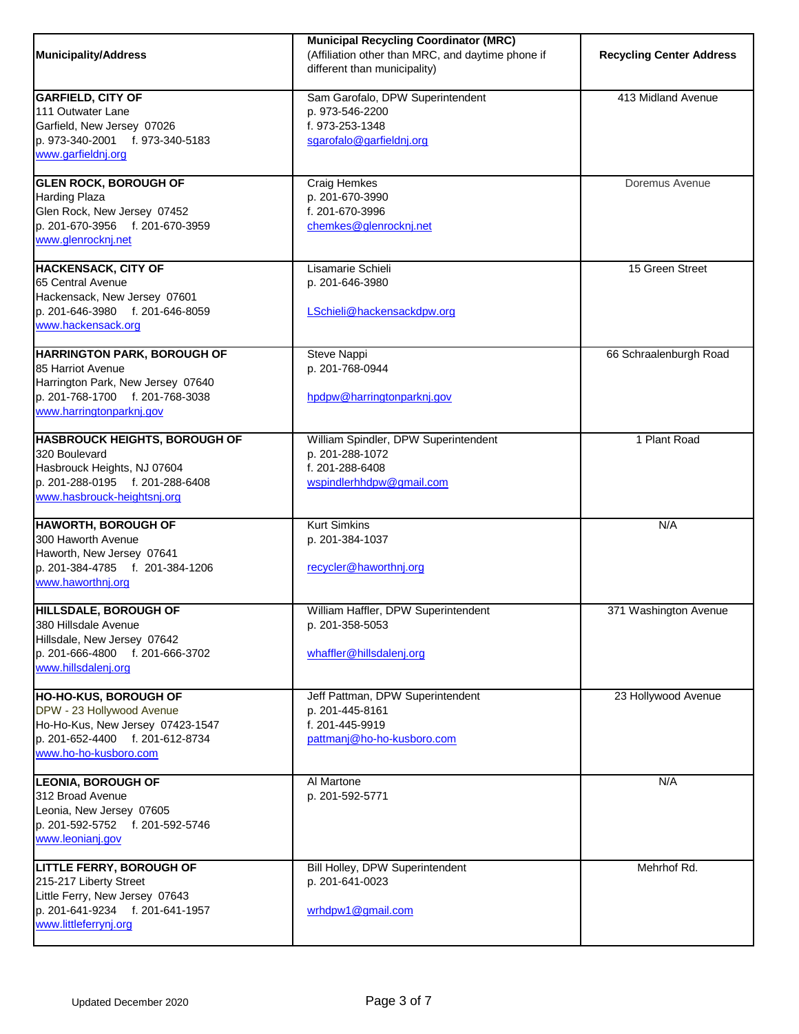| Municipality/Address                                                                                                                                        | <b>Municipal Recycling Coordinator (MRC)</b><br>(Affiliation other than MRC, and daytime phone if<br>different than municipality) | <b>Recycling Center Address</b> |
|-------------------------------------------------------------------------------------------------------------------------------------------------------------|-----------------------------------------------------------------------------------------------------------------------------------|---------------------------------|
| <b>GARFIELD, CITY OF</b><br>111 Outwater Lane<br>Garfield, New Jersey 07026<br>p. 973-340-2001 f. 973-340-5183<br>www.garfieldnj.org                        | Sam Garofalo, DPW Superintendent<br>p. 973-546-2200<br>f. 973-253-1348<br>sgarofalo@garfieldnj.org                                | 413 Midland Avenue              |
| <b>GLEN ROCK, BOROUGH OF</b><br>Harding Plaza<br>Glen Rock, New Jersey 07452<br>p. 201-670-3956 f. 201-670-3959<br>www.glenrocknj.net                       | <b>Craig Hemkes</b><br>p. 201-670-3990<br>f. 201-670-3996<br>chemkes@glenrocknj.net                                               | Doremus Avenue                  |
| <b>HACKENSACK, CITY OF</b><br>65 Central Avenue<br>Hackensack, New Jersey 07601<br>p. 201-646-3980 f. 201-646-8059<br>www.hackensack.org                    | Lisamarie Schieli<br>p. 201-646-3980<br>LSchieli@hackensackdpw.org                                                                | 15 Green Street                 |
| <b>HARRINGTON PARK, BOROUGH OF</b><br>85 Harriot Avenue<br>Harrington Park, New Jersey 07640<br>p. 201-768-1700 f. 201-768-3038<br>www.harringtonparknj.gov | Steve Nappi<br>p. 201-768-0944<br>hpdpw@harringtonparknj.gov                                                                      | 66 Schraalenburgh Road          |
| <b>HASBROUCK HEIGHTS, BOROUGH OF</b><br>320 Boulevard<br>Hasbrouck Heights, NJ 07604<br>p. 201-288-0195 f. 201-288-6408<br>www.hasbrouck-heightsnj.org      | William Spindler, DPW Superintendent<br>p. 201-288-1072<br>f. 201-288-6408<br>wspindlerhhdpw@gmail.com                            | 1 Plant Road                    |
| <b>HAWORTH, BOROUGH OF</b><br>300 Haworth Avenue<br>Haworth, New Jersey 07641<br>p. 201-384-4785 f. 201-384-1206<br>www.haworthnj.org                       | <b>Kurt Simkins</b><br>p. 201-384-1037<br>recycler@haworthnj.org                                                                  | N/A                             |
| <b>HILLSDALE, BOROUGH OF</b><br>380 Hillsdale Avenue<br>Hillsdale, New Jersey 07642<br>p. 201-666-4800 f. 201-666-3702<br>www.hillsdalenj.org               | William Haffler, DPW Superintendent<br>p. 201-358-5053<br>whaffler@hillsdalenj.org                                                | 371 Washington Avenue           |
| <b>HO-HO-KUS, BOROUGH OF</b><br>DPW - 23 Hollywood Avenue<br>Ho-Ho-Kus, New Jersey 07423-1547<br>p. 201-652-4400 f. 201-612-8734<br>www.ho-ho-kusboro.com   | Jeff Pattman, DPW Superintendent<br>p. 201-445-8161<br>f. 201-445-9919<br>pattmanj@ho-ho-kusboro.com                              | 23 Hollywood Avenue             |
| <b>LEONIA, BOROUGH OF</b><br>312 Broad Avenue<br>Leonia, New Jersey 07605<br>p. 201-592-5752 f. 201-592-5746<br>www.leonianj.gov                            | Al Martone<br>p. 201-592-5771                                                                                                     | N/A                             |
| <b>LITTLE FERRY, BOROUGH OF</b><br>215-217 Liberty Street<br>Little Ferry, New Jersey 07643<br>p. 201-641-9234 f. 201-641-1957<br>www.littleferrynj.org     | Bill Holley, DPW Superintendent<br>p. 201-641-0023<br>wrhdpw1@gmail.com                                                           | Mehrhof Rd.                     |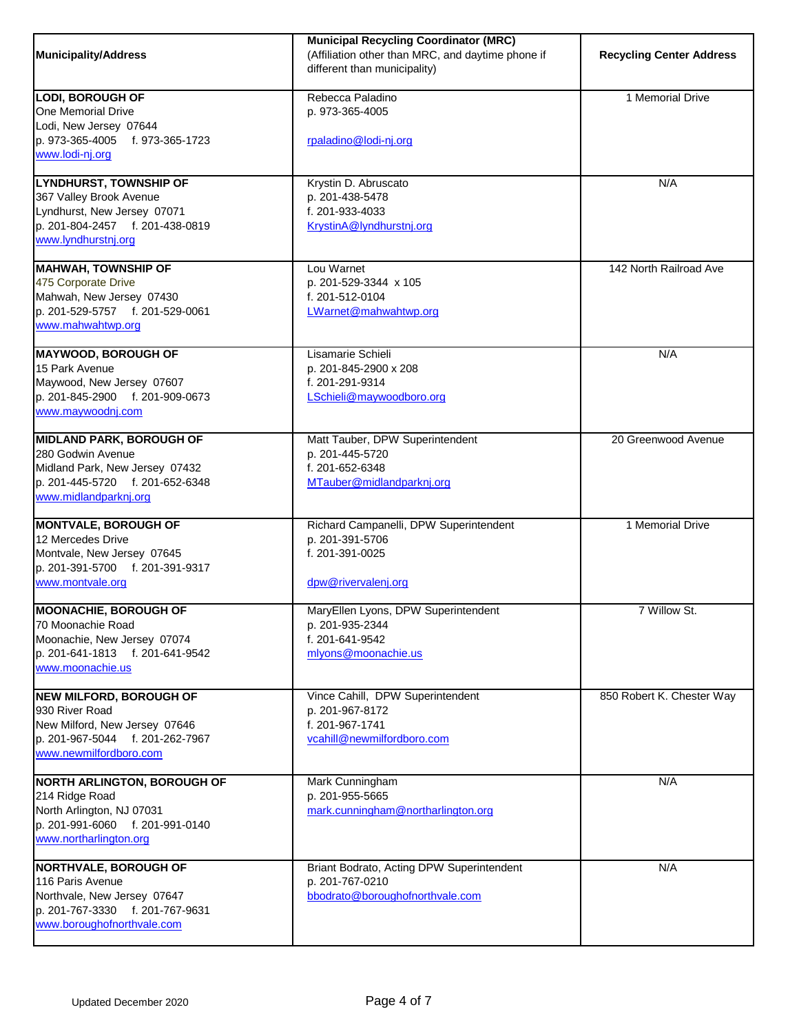| <b>Municipality/Address</b>                                                                                                                        | <b>Municipal Recycling Coordinator (MRC)</b><br>(Affiliation other than MRC, and daytime phone if<br>different than municipality) | <b>Recycling Center Address</b> |
|----------------------------------------------------------------------------------------------------------------------------------------------------|-----------------------------------------------------------------------------------------------------------------------------------|---------------------------------|
| <b>LODI, BOROUGH OF</b><br>One Memorial Drive<br>Lodi, New Jersey 07644<br>p. 973-365-4005<br>f. 973-365-1723<br>www.lodi-nj.org                   | Rebecca Paladino<br>p. 973-365-4005<br>rpaladino@lodi-nj.org                                                                      | 1 Memorial Drive                |
| LYNDHURST, TOWNSHIP OF<br>367 Valley Brook Avenue<br>Lyndhurst, New Jersey 07071<br>p. 201-804-2457 f. 201-438-0819<br>www.lyndhurstnj.org         | Krystin D. Abruscato<br>p. 201-438-5478<br>f. 201-933-4033<br>KrystinA@lyndhurstnj.org                                            | N/A                             |
| <b>MAHWAH, TOWNSHIP OF</b><br>475 Corporate Drive<br>Mahwah, New Jersey 07430<br>p. 201-529-5757 f. 201-529-0061<br>www.mahwahtwp.org              | Lou Warnet<br>p. 201-529-3344 x 105<br>f. 201-512-0104<br>LWarnet@mahwahtwp.org                                                   | 142 North Railroad Ave          |
| <b>MAYWOOD, BOROUGH OF</b><br>15 Park Avenue<br>Maywood, New Jersey 07607<br>p. 201-845-2900 f. 201-909-0673<br>www.maywoodnj.com                  | Lisamarie Schieli<br>p. 201-845-2900 x 208<br>f. 201-291-9314<br>LSchieli@maywoodboro.org                                         | N/A                             |
| <b>MIDLAND PARK, BOROUGH OF</b><br>280 Godwin Avenue<br>Midland Park, New Jersey 07432<br>p. 201-445-5720 f. 201-652-6348<br>www.midlandparknj.org | Matt Tauber, DPW Superintendent<br>p. 201-445-5720<br>f. 201-652-6348<br>MTauber@midlandparknj.org                                | 20 Greenwood Avenue             |
| <b>MONTVALE, BOROUGH OF</b><br>12 Mercedes Drive<br>Montvale, New Jersey 07645<br>p. 201-391-5700 f. 201-391-9317<br>www.montvale.org              | Richard Campanelli, DPW Superintendent<br>p. 201-391-5706<br>f. 201-391-0025<br>dpw@rivervalenj.org                               | 1 Memorial Drive                |
| <b>MOONACHIE, BOROUGH OF</b><br>70 Moonachie Road<br>Moonachie, New Jersey 07074<br>p. 201-641-1813 f. 201-641-9542<br>www.moonachie.us            | MaryEllen Lyons, DPW Superintendent<br>p. 201-935-2344<br>f. 201-641-9542<br>mlyons@moonachie.us                                  | 7 Willow St.                    |
| <b>NEW MILFORD, BOROUGH OF</b><br>930 River Road<br>New Milford, New Jersey 07646<br>p. 201-967-5044 f. 201-262-7967<br>www.newmilfordboro.com     | Vince Cahill, DPW Superintendent<br>p. 201-967-8172<br>f. 201-967-1741<br>vcahill@newmilfordboro.com                              | 850 Robert K. Chester Way       |
| <b>NORTH ARLINGTON, BOROUGH OF</b><br>214 Ridge Road<br>North Arlington, NJ 07031<br>p. 201-991-6060 f. 201-991-0140<br>www.northarlington.org     | Mark Cunningham<br>p. 201-955-5665<br>mark.cunningham@northarlington.org                                                          | N/A                             |
| <b>NORTHVALE, BOROUGH OF</b><br>116 Paris Avenue<br>Northvale, New Jersey 07647<br>p. 201-767-3330 f. 201-767-9631<br>www.boroughofnorthvale.com   | Briant Bodrato, Acting DPW Superintendent<br>p. 201-767-0210<br>bbodrato@boroughofnorthvale.com                                   | N/A                             |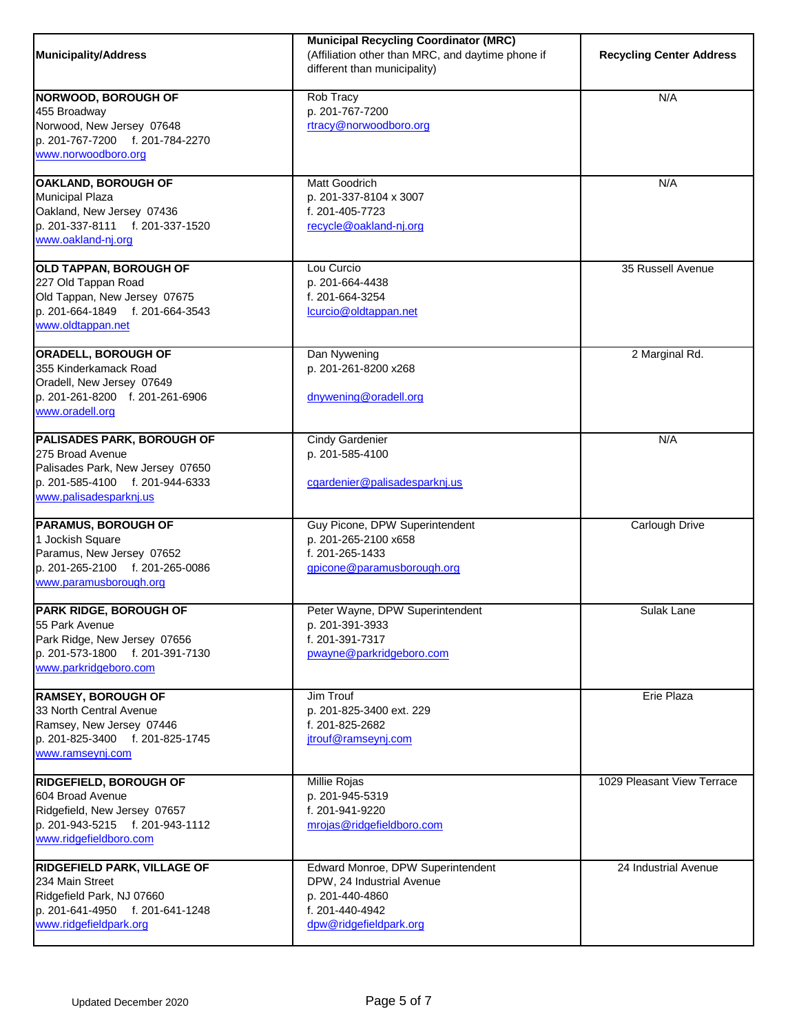| <b>Municipality/Address</b>                                                                                                                     | <b>Municipal Recycling Coordinator (MRC)</b><br>(Affiliation other than MRC, and daytime phone if<br>different than municipality) | <b>Recycling Center Address</b> |
|-------------------------------------------------------------------------------------------------------------------------------------------------|-----------------------------------------------------------------------------------------------------------------------------------|---------------------------------|
| <b>NORWOOD, BOROUGH OF</b><br>455 Broadway<br>Norwood, New Jersey 07648<br>p. 201-767-7200 f. 201-784-2270<br>www.norwoodboro.org               | Rob Tracy<br>p. 201-767-7200<br>rtracy@norwoodboro.org                                                                            | N/A                             |
| OAKLAND, BOROUGH OF<br><b>Municipal Plaza</b><br>Oakland, New Jersey 07436<br>p. 201-337-8111 f. 201-337-1520<br>www.oakland-nj.org             | Matt Goodrich<br>p. 201-337-8104 x 3007<br>f. 201-405-7723<br>recycle@oakland-nj.org                                              | N/A                             |
| OLD TAPPAN, BOROUGH OF<br>227 Old Tappan Road<br>Old Tappan, New Jersey 07675<br>p. 201-664-1849 f. 201-664-3543<br>www.oldtappan.net           | Lou Curcio<br>p. 201-664-4438<br>f. 201-664-3254<br>lcurcio@oldtappan.net                                                         | 35 Russell Avenue               |
| ORADELL, BOROUGH OF<br>355 Kinderkamack Road<br>Oradell, New Jersey 07649<br>p. 201-261-8200 f. 201-261-6906<br>www.oradell.org                 | Dan Nywening<br>p. 201-261-8200 x268<br>dnywening@oradell.org                                                                     | 2 Marginal Rd.                  |
| PALISADES PARK, BOROUGH OF<br>275 Broad Avenue<br>Palisades Park, New Jersey 07650<br>p. 201-585-4100 f. 201-944-6333<br>www.palisadesparknj.us | Cindy Gardenier<br>p. 201-585-4100<br>cgardenier@palisadesparknj.us                                                               | N/A                             |
| <b>PARAMUS, BOROUGH OF</b><br>1 Jockish Square<br>Paramus, New Jersey 07652<br>p. 201-265-2100 f. 201-265-0086<br>www.paramusborough.org        | Guy Picone, DPW Superintendent<br>p. 201-265-2100 x658<br>f. 201-265-1433<br>gpicone@paramusborough.org                           | Carlough Drive                  |
| PARK RIDGE, BOROUGH OF<br>55 Park Avenue<br>Park Ridge, New Jersey 07656<br>p. 201-573-1800 f. 201-391-7130<br>www.parkridgeboro.com            | Peter Wayne, DPW Superintendent<br>p. 201-391-3933<br>f. 201-391-7317<br>pwayne@parkridgeboro.com                                 | Sulak Lane                      |
| <b>RAMSEY, BOROUGH OF</b><br>33 North Central Avenue<br>Ramsey, New Jersey 07446<br>p. 201-825-3400 f. 201-825-1745<br>www.ramseynj.com         | Jim Trouf<br>p. 201-825-3400 ext. 229<br>f. 201-825-2682<br>jtrouf@ramseynj.com                                                   | Erie Plaza                      |
| <b>RIDGEFIELD, BOROUGH OF</b><br>604 Broad Avenue<br>Ridgefield, New Jersey 07657<br>p. 201-943-5215 f. 201-943-1112<br>www.ridgefieldboro.com  | Millie Rojas<br>p. 201-945-5319<br>f. 201-941-9220<br>mrojas@ridgefieldboro.com                                                   | 1029 Pleasant View Terrace      |
| <b>RIDGEFIELD PARK, VILLAGE OF</b><br>234 Main Street<br>Ridgefield Park, NJ 07660<br>p. 201-641-4950 f. 201-641-1248<br>www.ridgefieldpark.org | Edward Monroe, DPW Superintendent<br>DPW, 24 Industrial Avenue<br>p. 201-440-4860<br>f. 201-440-4942<br>dpw@ridgefieldpark.org    | 24 Industrial Avenue            |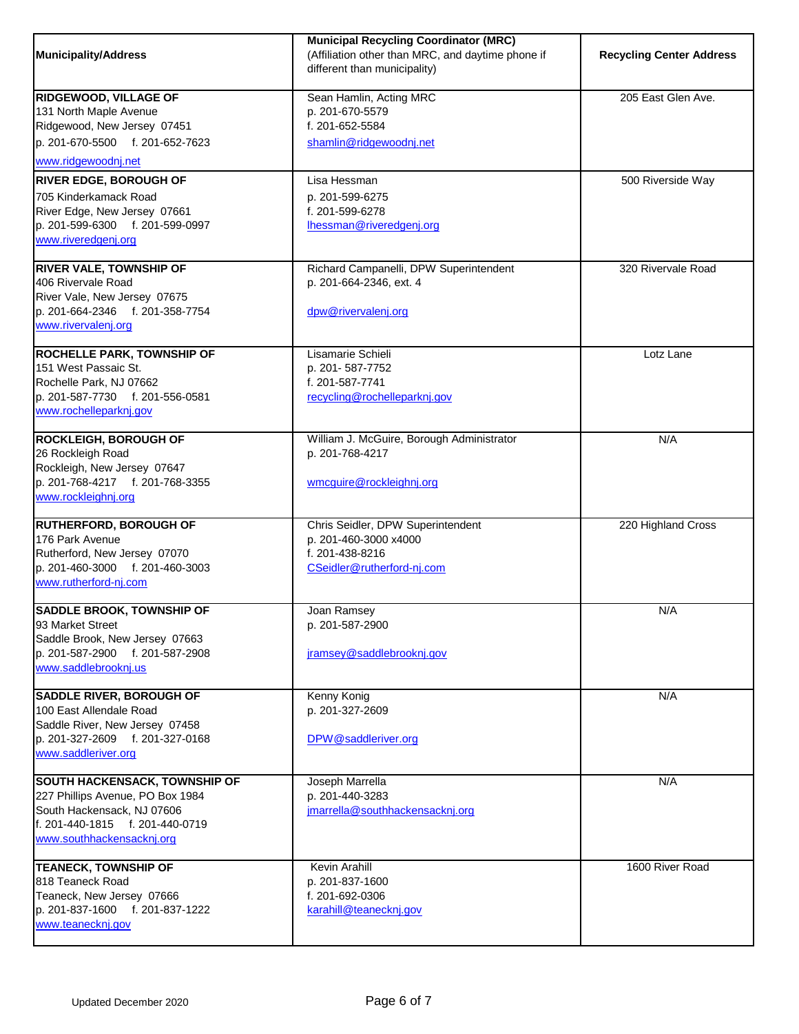| Municipality/Address                                                                                                                                                    | <b>Municipal Recycling Coordinator (MRC)</b><br>(Affiliation other than MRC, and daytime phone if<br>different than municipality) | <b>Recycling Center Address</b> |
|-------------------------------------------------------------------------------------------------------------------------------------------------------------------------|-----------------------------------------------------------------------------------------------------------------------------------|---------------------------------|
| <b>RIDGEWOOD, VILLAGE OF</b><br>131 North Maple Avenue<br>Ridgewood, New Jersey 07451<br>p. 201-670-5500 f. 201-652-7623<br>www.ridgewoodnj.net                         | Sean Hamlin, Acting MRC<br>p. 201-670-5579<br>f. 201-652-5584<br>shamlin@ridgewoodnj.net                                          | 205 East Glen Ave.              |
| <b>RIVER EDGE, BOROUGH OF</b><br>705 Kinderkamack Road<br>River Edge, New Jersey 07661<br>p. 201-599-6300 f. 201-599-0997<br>www.riveredgenj.org                        | Lisa Hessman<br>p. 201-599-6275<br>f. 201-599-6278<br>lhessman@riveredgenj.org                                                    | 500 Riverside Way               |
| <b>RIVER VALE, TOWNSHIP OF</b><br>406 Rivervale Road<br>River Vale, New Jersey 07675<br>p. 201-664-2346 f. 201-358-7754<br>www.rivervalenj.org                          | Richard Campanelli, DPW Superintendent<br>p. 201-664-2346, ext. 4<br>dpw@rivervalenj.org                                          | 320 Rivervale Road              |
| <b>ROCHELLE PARK, TOWNSHIP OF</b><br>151 West Passaic St.<br>Rochelle Park, NJ 07662<br>p. 201-587-7730 f. 201-556-0581<br>www.rochelleparknj.gov                       | Lisamarie Schieli<br>p. 201-587-7752<br>f. 201-587-7741<br>recycling@rochelleparknj.gov                                           | Lotz Lane                       |
| <b>ROCKLEIGH, BOROUGH OF</b><br>26 Rockleigh Road<br>Rockleigh, New Jersey 07647<br>p. 201-768-4217 f. 201-768-3355<br>www.rockleighnj.org                              | William J. McGuire, Borough Administrator<br>p. 201-768-4217<br>wmcguire@rockleighnj.org                                          | N/A                             |
| <b>RUTHERFORD, BOROUGH OF</b><br>176 Park Avenue<br>Rutherford, New Jersey 07070<br>p. 201-460-3000 f. 201-460-3003<br>www.rutherford-nj.com                            | Chris Seidler, DPW Superintendent<br>p. 201-460-3000 x4000<br>f. 201-438-8216<br>CSeidler@rutherford-nj.com                       | 220 Highland Cross              |
| <b>SADDLE BROOK, TOWNSHIP OF</b><br>93 Market Street<br>Saddle Brook, New Jersey 07663<br>p. 201-587-2900 f. 201-587-2908<br>www.saddlebrooknj.us                       | Joan Ramsey<br>p. 201-587-2900<br>jramsey@saddlebrooknj.gov                                                                       | N/A                             |
| <b>SADDLE RIVER, BOROUGH OF</b><br>100 East Allendale Road<br>Saddle River, New Jersey 07458<br>p. 201-327-2609 f. 201-327-0168<br>www.saddleriver.org                  | Kenny Konig<br>p. 201-327-2609<br>DPW@saddleriver.org                                                                             | N/A                             |
| <b>SOUTH HACKENSACK, TOWNSHIP OF</b><br>227 Phillips Avenue, PO Box 1984<br>South Hackensack, NJ 07606<br>lf. 201-440-1815 f. 201-440-0719<br>www.southhackensacknj.org | Joseph Marrella<br>p. 201-440-3283<br>jmarrella@southhackensacknj.org                                                             | N/A                             |
| <b>TEANECK, TOWNSHIP OF</b><br>818 Teaneck Road<br>Teaneck, New Jersey 07666<br>p. 201-837-1600 f. 201-837-1222<br>www.teanecknj.gov                                    | Kevin Arahill<br>p. 201-837-1600<br>f. 201-692-0306<br>karahill@teanecknj.gov                                                     | 1600 River Road                 |